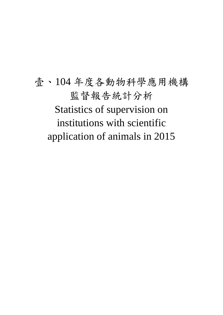壹、104 年度各動物科學應用機構 監督報告統計分析 Statistics of supervision on institutions with scientific application of animals in 2015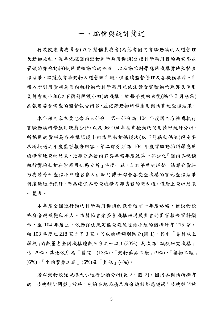#### 一、編輯與統計簡述

行政院農業委員會(以下簡稱農委會)為落實國內實驗動物的人道管理 及動物福祉,每年依據國內動物科學應用機構(係指科學應用目的而飼養或 管領的脊椎動物)使用實驗動物的概況,以及動物科學應用機構實地監督查 核結果,編製成實驗動物人道管理年報,供後續監督管理及各機構參考。年 報內所引用資料為國內執行動物科學應用並依法設置實驗動物照護及使用 委員會或小組(以下簡稱照護小組)的機構,於每年度結束後(隔年3月底前) 函報農委會備查的監督報告內容,並記錄動物科學應用機構實地查核結果。

本年報內容主要包含兩大部分:第一部分為 104 年度國內各機構執行 實驗動物科學應用狀態分析,以及 96~104 年度實驗動物使用情形統計分析, 所採用的資料為各機構照護小組依照動物保護法(以下簡稱動保法)規定要 求所報送之年度監督報告內容。第二部分則為 104 年度實驗動物科學應用 機構實地查核結果,此部分為使內容與年報年度及第一部分之「國內各機構 執行實驗動物科學應用狀態分析 | 年度一致, 自本年度起調整, 該部分資料 乃委請外部查核小組總召集人洪昭竹博士綜合各受查機構的實地查核結果 與建議進行總評,而為確保各受查機構內部業務的隱私權,僅附上查核結果 一覽表。

本年度全國進行動物科學應用機構的數量較前一年度略減,但動物設 施房舍規模變動不大。依據協會彙整各機構報送農委會的監督報告資料顯 示,至104年度止,依動保法規定備查設置照護小組的機構計有 215 家, 較 103 年度之 218 家少了 3 家。若以機構類別區分(圖 1), 其中「專科以上 學校 的數量占全國機構總數三分之一以上(33%),其次為「試驗研究機構」 佔 29%,其他依序為「醫院」(13%)、「動物藥品工廠」(9%)、「藥物工廠」 (6%)、「生物製劑工廠」(6%)及「其他」(4%)。

若以動物設施規模大小進行分類分析(表 2、圖 2),國內各機構所擁有 的「陸棲類封閉型」設施,無論在總面積及房舍總數都遠超過「陸棲類開放

5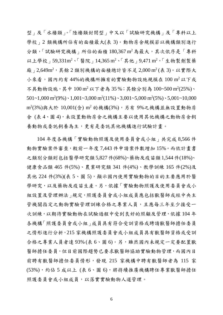型」及「水棲類」。「陸棲類封閉型」中又以「試驗研究機構」及「專科以上 學校 | 2 類機構所佔有的面積最大(表 3)。動物房舍規模若以機構類別進行 分類,「試驗研究機構」所佔的面積 180,367 m<sup>2</sup>為最大,其次依序是「專科 以上學校」59,331m<sup>2</sup>、「醫院」14,365 m<sup>2</sup>、「其他」9,471 m<sup>2</sup>,「生物製劑製藥 廠」2,649m<sup>2</sup>,其餘2類別機構的面積總計皆不足 2,000 m<sup>2</sup>(表 3)。以實際大 小來看,國內約有44%的機構所擁有的實驗動物設施規模在 100 m<sup>2</sup> 以下或 不具動物設施,其中 100 m<sup>2</sup> 以下者為 35%;其餘分別為 100~500 m<sup>2</sup>(25%)、  $501 - 1,000 \text{ m}^2 (9\%) \cdot 1,001 - 3,000 \text{ m}^2 (11\%) \cdot 3,001 - 5,000 \text{ m}^2 (5\%) \cdot 5,001 - 10,000$ m<sup>2</sup> (3%)與大於 10,001(含) m<sup>2</sup> 的機構(3%),另有 9%之機構並無設置動物房 舍 (表 4、圖 4),未設置動物房舍之機構主要以使用其他機構之動物房舍飼 養動物或委託飼養為主,更有是委託其他機構進行試驗計畫。

104 年度各機構「實驗動物照護及使用委員會或小組」共完成 8,566 件 動物實驗案件審查,較前一年度 7,443 件申請案件數增加 15%。而依計畫書 之類別分類則包括醫學研究類5,827件(68%)、藥物及疫苗類1,544件(18%)、 健康食品類 465 件(5%)、農業研究類 341 件(4%)、教學訓練 165 件(2%)及 其他 224 件(3%)(表 5、圖 5),顯示國內使用實驗動物的目的主要應用於醫 學研究,以及藥物及疫苗生產。另,依據「實驗動物照護及使用委員會或小 組設置及管理辦法」規定,照護委員會或小組成員應包括獸醫師或經中央主 管機關指定之動物實驗管理訓練合格之專業人員,且應每三年至少接受一 次訓練,以期待實驗動物在試驗過程中受到良好的照顧及管理,依據 104年 各機構「照護委員會或小組」成員具有符合受訓資格或聘請獸醫師擔任委員 之情形進行分析,215 家機構照護委員會或小組成員具有獸醫師資格或受訓 合格之專業人員者達 93% (表 6、圖 6)。另,雖然國內未規定一定要配置獸 醫師擔任委員,但目前國際趨勢已要求獸醫師協助實驗動物管理,而國內目 前聘有獸醫師擔任委員情形,發現 215 家機構中聘有獸醫師者為 115 家 (53%),約佔 5 成以上 (表 6、圖 6),將持續推廣機構聘任專業獸醫師擔任 照護委員會或小組成員,以落實實驗動物人道管理。

6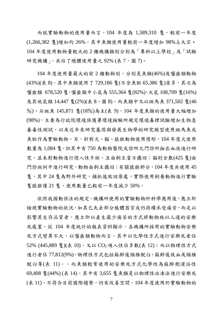而就實驗動物的使用量而言, 104 年度為 1,589,310 隻,較前一年度 (1,266,382 隻)增加約 26%,其中魚類使用量較前一年度增加 98%占大宗。 104 年度使用動物量較大的 2 種機構類別分別為「專科以上學校」及「試驗 研究機構」,共佔了總體使用量之 92% (表 7、圖 7)。

104 年度使用量最大的前 2 種動物別,分別是魚類(46%)及囓齒類動物 (43%)(表 8)。其中魚類使用了 729,186 隻(不含魚胚 65,386 隻)居多,其次為 囓齒類 678,520 隻,囓齒類中小鼠為 555,364 隻(82%)、大鼠 108,709 隻(16%) 及其他鼠類 14,447 隻(2%)(表 8、圖 8)。而魚類中又以斑馬魚 371,502 隻(46 %)、石斑魚 145,871 隻(18%)為主(表 9),104 年度魚類的使用量大幅增加 (98%),主要為行政院環境保護署環境檢驗所規定環境毒理試驗增加生物急 毒毒性測試,以及近年來研究基因與發展生物學的研究模型使用斑馬魚或 魚胚作為實驗動物。另,針對犬、貓、猿猴動物使用情形,104 年度犬使用 數量為 1,084 隻,但其中有750 為動物醫院或診所之門診所抽出血液進行研 究,並未對動物進行侵入性手術,且由飼主當日攜回;貓則全數(425隻)由 門診病例中進行研究,動物由飼主攜回;有關猿猴部分,104 年度共使用 45 隻,其中 24 隻為野外研究,捕抓後放回原處,實際使用飼養動物進行實驗 隻猿猴僅 21 隻,使用數量已較前一年度減少 50%。

依照我國動保法的規定,機構所使用的實驗動物於科學應用後,應立即 檢視實驗動物的狀況,如其已失去部分肢體器官或仍持續承受痛苦,而足以 影響其生存品質者,應立即以產生最少痛苦的方式將動物施以人道的安樂 死處置。從 104 年度統計的報表資料顯示,各機構所採用的實驗動物安樂 死方式變異不大,以囓齒類動物而言,其中以化學性方式進行安樂死者佔 52% (445,889 隻)(表 10), 又以 CO<sub>2</sub> 吸入性佔多數(表 12); 而以物理性方式 進行者佔 77,812(9%),物理性方式包括麻醉後頸椎脫臼、麻醉後放血及頸椎 脫臼等(表 11)。。而魚類較常使用的安樂死方式化學性為麻醉劑浸浴性 69,408 隻(44%) (表 14),其中有 3,655 隻魚類是以物理性冰凍法進行安樂死 (表 11),不符合目前國際趨勢,仍有改善空間。104 年度使用於實驗動物的

7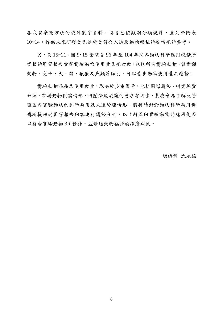各式安樂死方法的統計數字資料,協會已依類別分項統計,並列於附表 10~14,俾供未來研發更先進與更符合人道及動物福祉的安樂死的參考。

另,表 15~21、圖 9~15 彙整自 96 年至 104 年間各動物科學應用機構所 提報的監督報告彙整實驗動物使用量及死亡數,包括所有實驗動物、醫齒類 動物、兔子、犬、貓、猿猴及魚類等類別,可以看出動物使用量之趨勢。

實驗動物品種及使用數量,取決於多重因素,包括國際趨勢、研究經費 來源、市場動物供需情形、相關法規規範的要求等因素,農委會為了解及管 理國內實驗動物的科學應用及人道管理情形,將持續針對動物科學應用機 構所提報的監督報告內容進行趨勢分析,以了解國內實驗動物的應用是否 以符合實驗動物 3R 精神、並增進動物福祉的推廣成效。

總編輯 沈永銘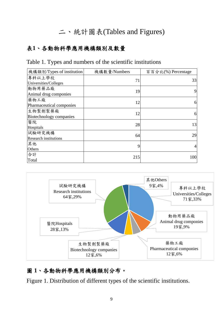# 二、統計圖表(Tables and Figures)

#### 表**1**、各動物科學應用機構類別及數量

#### Table 1. Types and numbers of the scientific institutions

| 機構類別/Types of institution    | 機構數量/Numbers | 百百分比(%) Percentage |
|------------------------------|--------------|--------------------|
| 專科以上學校                       | 71           | 33                 |
| Universities/Colleges        |              |                    |
| 動物用藥品廠                       | 19           | 9                  |
| Animal drug componies        |              |                    |
| 藥物工廠                         | 12           | 6                  |
| Pharmaceutical componies     |              |                    |
| 生物製劑製藥廠                      | 12           | 6                  |
| Biotechnology companies      |              |                    |
| 醫院                           | 28           | 13                 |
| Hospitals                    |              |                    |
| 試驗研究機構                       | 64           | 29                 |
| <b>Research institutions</b> |              |                    |
| 其他                           | 9            | 4                  |
| Others                       |              |                    |
| 合計                           | 215          | 100                |
| Total                        |              |                    |



# 圖 **1**、各動物科學應用機構類別分布。

Figure 1. Distribution of different types of the scientific institutions.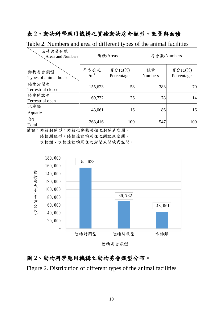## 表 **2**、動物科學應用機構之實驗動物房舍類型、數量與面積

Table 2. Numbers and area of different types of the animal facilities

| 面積與房舍數<br><b>Areas and Numbers</b> |                    | 面積/Areas             | 房舍數/Numbers          |                      |  |  |
|------------------------------------|--------------------|----------------------|----------------------|----------------------|--|--|
| 動物房舍類型<br>Types of animal house    | 平方公尺<br>$\rm /m^2$ | 百分比(%)<br>Percentage | 數量<br><b>Numbers</b> | 百分比(%)<br>Percentage |  |  |
| 陸棲封閉型<br>Terrestrial closed        | 155,623            | 58                   | 383                  | 70                   |  |  |
| 陸棲開放型<br>Terrestrial open          | 69,732             | 26                   | 78                   | 14                   |  |  |
| 水棲類<br>Aquatic                     | 43,061             | 16                   | 86                   | 16                   |  |  |
| 合計<br>Total                        | 268,416            | 100                  | 547                  | 100                  |  |  |

備註:陸棲封閉型:陸棲性動物居住之封閉式空間。 陸棲開放型:陸棲性動物居住之開放式空間。 水棲類:水棲性動物居住之封閉或開放式空間。



動物房舍類型

#### 圖 **2**、動物科學應用機構之動物房舍類型分布。

Figure 2. Distribution of different types of the animal facilities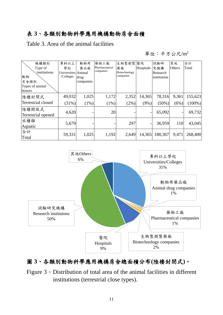# 表 **3**、各類別動物科學應用機構動物房舍面積

Table 3. Area of the animal facilities

單位:平方公尺/m<sup>2</sup>

| 機構類別                      | 專科以上                | 動物用       | 藥物工廠           | 生物製劑製醫院       |           | 試驗研         | 其他         | 合計        |
|---------------------------|---------------------|-----------|----------------|---------------|-----------|-------------|------------|-----------|
| Type of                   | 學校                  | 藥品廠       | Pharmaceutical | 藥廠            | Hospitals | 究機構         | Others     | Total     |
| institutions              | Universities Animal |           | companies      | Biotechnology |           | Research    |            |           |
| 動物                        | /Colleges           | drug      |                | companies     |           | institutons |            |           |
| 房舍類別                      |                     | companies |                |               |           |             |            |           |
| Types of animal           |                     |           |                |               |           |             |            |           |
| houses                    |                     |           |                |               |           |             |            |           |
| 陸棲封閉式                     | 49,032              | 1,025     | 1,172          | 2,352         | 14,365    | 78,316      | 9,361      | 155,623   |
| <b>Terrestrial closed</b> | $(31\%)$            | $(1\%)$   | $(1\%)$        | $(2\%)$       | $(9\%)$   | $(50\%)$    | (6%)       | $(100\%)$ |
| 陸棲開放式                     |                     |           |                |               |           |             |            |           |
| Terrestrial opened        | 4,620               |           | 20             |               |           | 65,092      |            | 69,732    |
| 水棲類                       | 5,679               |           |                | 297           |           | 36,959      | <b>110</b> | 43,045    |
| Aquatic                   |                     |           |                |               |           |             |            |           |
| 合計                        | 59,331              | 1,025     | 1,192          | 2,649         | 14,365    | 180,367     | 9,471      | 268,400   |
| Total                     |                     |           |                |               |           |             |            |           |



# 圖 **3**、各類別動物科學應用機構房舍總面積分布**(**陸棲封閉式**)**。

Figure 3、Distribution of total area of the animal facilities in different institutions (terrestrial close types).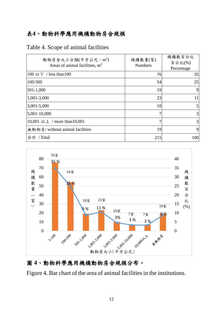#### 表**4**、動物科學應用機構動物房舍規模

| 動物房舍大小分類(平方公尺,m2)<br>Areas of animal facilities, $m2$ | 機構數量(家)<br><b>Numbers</b> | 機構數百分比<br>百分比(%) |
|-------------------------------------------------------|---------------------------|------------------|
| 100 以下 / less than 100                                | 76                        | Percentage<br>35 |
| 100-500                                               | 54                        | 25               |
| 501-1,000                                             | 19                        | 9                |
| 1,001-3,000                                           | 23                        | 11               |
| $3,001 - 5,000$                                       | 10                        | 5                |
| 5,001-10,000                                          |                           | 3                |
| 10,001 以上 / more than 10,001                          |                           | 3                |
| 無動物房/without animal facilities                        | 19                        | 9                |
| 合計<br>Total                                           | 215                       | 100              |

Table 4. Scope of animal facilities



# 圖 **4**、動物科學應用機構動物房舍規模分布。

Figure 4. Bar chart of the area of animal facilities in the institutions.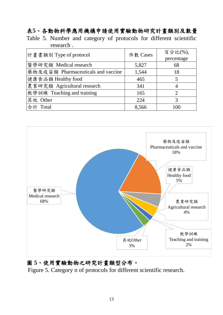# 表**5**、各動物科學應用機構申請使用實驗動物研究計畫類別及數量

Table 5. Number and category of protocols for different scientific research .

| 計畫書類別 Type of protocol             | 件數 Cases | 百分比(%),        |
|------------------------------------|----------|----------------|
|                                    |          | percentage     |
| 醫學研究類 Medical research             | 5,827    | 68             |
| 藥物及疫苗類 Pharmaceuticals and vaccine | 1,544    | 18             |
| 健康食品類 Healthy food                 | 465      | 5              |
| 農業研究類 Agricultural research        | 341      |                |
| 教學訓練 Teaching and training         | 165      | $\overline{2}$ |
| 其他 Other                           | 224      | 3              |
| 合計<br>Total                        | 8,566    | 100            |



#### 圖 **5**、使用實驗動物之研究計畫類型分布。

Figure 5. Category n of protocols for different scientific research.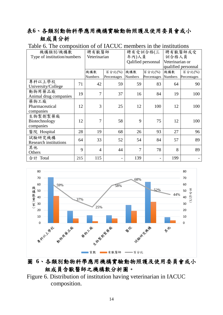## 表**6**、各類別動物科學應用機構實驗動物照護及使用委員會或小 組成員分析

| 機構類別/機構數<br>Type of institution/numbers | 聘有獸醫師<br>Veterinarian |                       | 年內)人員                 | 聘有受訓合格(三<br>Qalified personnal | 聘有獸醫師或受<br>訓合格人員<br>Veterinarian or<br>qualified personnal |                |                       |
|-----------------------------------------|-----------------------|-----------------------|-----------------------|--------------------------------|------------------------------------------------------------|----------------|-----------------------|
|                                         |                       | 機構數<br><b>Numbers</b> | 百分比(%)<br>Percentages | 機構數<br>Numbers                 | 百分比(%)<br>Percentages                                      | 機構數<br>Numbers | 百分比(%)<br>Percentages |
| 專科以上學校<br>University/College            | 71                    | 42                    | 59                    | 59                             | 83                                                         | 64             | 90                    |
| 動物用藥品廠<br>Animal drug companies         | 19                    | $\overline{7}$        | 37                    | 16                             | 84                                                         | 19             | 100                   |
| 藥物工廠<br>Pharmaceutical<br>companies     | 12                    | 3                     | 25                    | 12                             | 100                                                        | 12             | 100                   |
| 生物製劑製藥廠<br>Biotechnology<br>companies   | 12                    | 7                     | 58                    | 9                              | 75                                                         | 12             | 100                   |
| 醫院 Hospital                             | 28                    | 19                    | 68                    | 26                             | 93                                                         | 27             | 96                    |
| 試驗研究機構<br><b>Research institutions</b>  | 64                    | 33                    | 52                    | 54                             | 84                                                         | 57             | 89                    |
| 其他<br>Others                            | 9                     | $\overline{4}$        | 44                    | 7                              | 78                                                         | 8              | 89                    |
| 合計 Total                                | 215                   | 115                   |                       | 139                            |                                                            | 199            |                       |



## 圖 **6**、各類別動物科學應用機構實驗動物照護及使用委員會或小 組成員含獸醫師之機構數分析圖。

Figure 6. Distribution of institution having veterinarian in IACUC composition.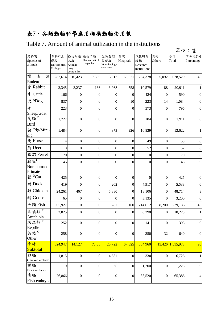# 表**7**、各類動物科學應用機構動物使用數

#### Table 7. Amount of animal utilization in the institutions

|                                             |                                         |                                           |                                     |                                           |                  |                                        |                  |                  | 單位:隻                 |
|---------------------------------------------|-----------------------------------------|-------------------------------------------|-------------------------------------|-------------------------------------------|------------------|----------------------------------------|------------------|------------------|----------------------|
| 動物別<br>Species of<br>animals                | 專科以上<br>學校<br>Universities/<br>Colleges | 動物用藥<br>品廠<br>Animal<br>drug<br>companies | 藥物工廠<br>Pharmaceutical<br>companies | 生物製劑<br>製藥廠<br>Biotechnology<br>companies | 醫院<br>Hospitals  | 試驗研究<br>機構<br>Research<br>institutions | 其他<br>Others     | 合計<br>Total      | 百分比(%)<br>Percentage |
| 囓<br>齒<br>類<br>Rodent                       | 282,614                                 | 10,423                                    | 7,330                               | 13,012                                    | 65,671           | 294,378                                | 5,092            | 678,520          | 43                   |
| 兔 Rabbit                                    | 2,345                                   | 3,237                                     | 136                                 | 3,968                                     | 558              | 10,579                                 | 88               | 20,911           | 1                    |
| 牛 Cattle                                    | 166                                     | $\boldsymbol{0}$                          | $\theta$                            | $\boldsymbol{0}$                          | $\theta$         | 424                                    | $\overline{0}$   | 590              | $\boldsymbol{0}$     |
| 犬 <sup>A</sup> Dog                          | 837                                     | $\mathbf{0}$                              | $\overline{0}$                      | $\mathbf{0}$                              | 10               | 223                                    | 14               | 1,084            | $\boldsymbol{0}$     |
| 羊<br>Sheep/Goat                             | 223                                     | $\overline{0}$                            | $\theta$                            | $\boldsymbol{0}$                          | $\theta$         | 573                                    | $\Omega$         | 796              | $\overline{0}$       |
| <br>鳥類 <sup>B</sup><br><b>Bird</b>          | 1,727                                   | $\boldsymbol{0}$                          | $\overline{0}$                      | $\boldsymbol{0}$                          | $\mathbf{0}$     | 184                                    | $\boldsymbol{0}$ | 1,911            | $\boldsymbol{0}$     |
| 豬 Pig/Mini-<br>pig                          | 1,484                                   | $\mathbf{0}$                              | $\theta$                            | 373                                       | 926              | 10,839                                 | $\boldsymbol{0}$ | 13,622           | 1                    |
| 馬 Horse                                     | 4                                       | $\boldsymbol{0}$                          | $\boldsymbol{0}$                    | $\boldsymbol{0}$                          | $\boldsymbol{0}$ | 49                                     | $\boldsymbol{0}$ | 53               | $\boldsymbol{0}$     |
| 鹿 Deer                                      | $\mathbf{0}$                            | $\overline{0}$                            | $\overline{0}$                      | $\boldsymbol{0}$                          | $\boldsymbol{0}$ | 52                                     | $\boldsymbol{0}$ | 52               | $\boldsymbol{0}$     |
| 雪貂 Ferret                                   | 70                                      | $\mathbf{0}$                              | $\boldsymbol{0}$                    | $\boldsymbol{0}$                          | $\boldsymbol{0}$ | $\boldsymbol{0}$                       | $\boldsymbol{0}$ | 70               | $\boldsymbol{0}$     |
| 猿猴C<br>Non-human<br>Primate                 | 45                                      | $\overline{0}$                            | 0                                   | $\overline{0}$                            | $\Omega$         | $\boldsymbol{0}$                       | $\Omega$         | 45               | $\overline{0}$       |
| 貓 <sup>D</sup> Cat                          | 425                                     | $\boldsymbol{0}$                          | $\boldsymbol{0}$                    | $\boldsymbol{0}$                          | $\boldsymbol{0}$ | $\boldsymbol{0}$                       | $\boldsymbol{0}$ | 425              | $\boldsymbol{0}$     |
| 鴨 Duck                                      | 419                                     | $\overline{0}$                            | $\overline{0}$                      | 202                                       | $\mathbf{0}$     | 4,917                                  | $\overline{0}$   | 5,538            | $\mathbf{0}$         |
| <b>雞 Chicken</b>                            | 24,261                                  | 467                                       | $\overline{0}$                      | 5,880                                     | $\boldsymbol{0}$ | 18,106                                 | $\overline{0}$   | 48,714           | 3                    |
| 鵝 Goose                                     | 65                                      | $\boldsymbol{0}$                          | $\theta$                            | $\overline{0}$                            | $\theta$         | 3,135                                  | $\overline{0}$   | 3,200            | $\theta$             |
| 魚類 Fish                                     | 505,927                                 | $\boldsymbol{0}$                          | $\theta$                            | 287                                       | 160              | 214,612                                | 8,200            | 729,186          | 46                   |
| Е<br>兩棲類<br>Amphibia                        | 3,825                                   | $\boldsymbol{0}$                          | $\boldsymbol{0}$                    | $\boldsymbol{0}$                          | $\boldsymbol{0}$ | 6,398                                  | $\boldsymbol{0}$ | 10,223           | 1                    |
| $\boldsymbol{\mathrm{F}}$<br>爬蟲類<br>Reptile | 252                                     | $\mathbf{0}$                              | $\boldsymbol{0}$                    | $\boldsymbol{0}$                          | $\mathbf{0}$     | 141                                    | $\overline{0}$   | 393              | $\boldsymbol{0}$     |
| 其他G<br>Other                                | 258                                     | $\boldsymbol{0}$                          | $\boldsymbol{0}$                    | $\boldsymbol{0}$                          | $\boldsymbol{0}$ | 350                                    | 32               | 640              | $\boldsymbol{0}$     |
| 小計<br>Subtotal                              | 824,947                                 | 14,127                                    | 7,466                               | 23,722                                    | 67,325           | 564,960                                |                  | 13,426 1,515,973 | 95                   |
| 雞胚<br>Chicken embryo                        | 1,815                                   | $\boldsymbol{0}$                          | $\boldsymbol{0}$                    | 4,581                                     | $\boldsymbol{0}$ | 330                                    | $\boldsymbol{0}$ | 6,726            | $\mathbf{1}$         |
| 鴨胚<br>Duck embryo                           | $\boldsymbol{0}$                        | $\boldsymbol{0}$                          | $\boldsymbol{0}$                    | 25                                        | $\boldsymbol{0}$ | 1,200                                  | $\boldsymbol{0}$ | 1,225            | $\boldsymbol{0}$     |
| 魚胚<br>Fish embryo                           | 26,866                                  | $\boldsymbol{0}$                          | $\boldsymbol{0}$                    | $\boldsymbol{0}$                          | $\boldsymbol{0}$ | 38,520                                 | $\boldsymbol{0}$ | 65,386           | $\overline{4}$       |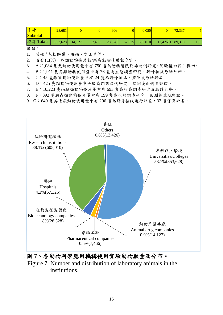| 小計<br>Subtotal                                                                                                                                                                                                                                                                                                                                  | 28.681  |        |       | 4.606  |        | 40,050  | 73.337           |     |
|-------------------------------------------------------------------------------------------------------------------------------------------------------------------------------------------------------------------------------------------------------------------------------------------------------------------------------------------------|---------|--------|-------|--------|--------|---------|------------------|-----|
| 總計 Totals<br>$\mathbf{H}$ $\mathbf{L}$ $\mathbf{L}$ $\mathbf{L}$ $\mathbf{L}$ $\mathbf{L}$ $\mathbf{L}$ $\mathbf{L}$ $\mathbf{L}$ $\mathbf{L}$ $\mathbf{L}$ $\mathbf{L}$ $\mathbf{L}$ $\mathbf{L}$ $\mathbf{L}$ $\mathbf{L}$ $\mathbf{L}$ $\mathbf{L}$ $\mathbf{L}$ $\mathbf{L}$ $\mathbf{L}$ $\mathbf{L}$ $\mathbf{L}$ $\mathbf{L}$ $\mathbf{$ | 853,628 | 14.127 | 7,466 | 28,328 | 67,325 | 605,010 | 13,426 1,589,310 | 100 |

備註:

1. 其他<sup>a</sup>包括鼬獾、蝙蝠、穿山甲等。

2. 百分比(%):各類動物使用數/所有動物使用數合計。

3. A:1,084 隻犬動物使用量中有 750 隻為動物醫院門診病例研究,實驗後由飼主攜回。

4. B:1,911 隻鳥類動物使用量中有 76 隻為生態調查研究,野外捕捉原地放回。

5. C:45 隻猿猴動物使用量中有 24 隻為野外捕抓,監測後原地野放。

- 6. D:425 隻貓動物使用量中全數為門診病例研究,監測後由飼主帶回。
- 7. E:10,223 隻兩棲類動物使用量中有 693 隻為行為調查研究及救護行動。
- 8. F:393 隻爬蟲類動物使用量中有 199 隻為生態調查研究,監測後原地野放。
- 9. G:640 隻其他類動物使用量中有 296 隻為野外捕捉進行計畫,32 隻保育計畫。



圖 **7**、各動物科學應用機構使用實驗動物數量及分布。 Figure 7. Number and distribution of laboratory animals in the institutions.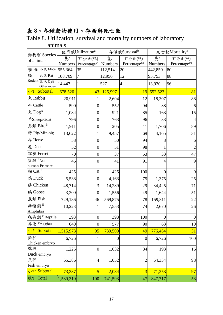# 表 **8**、各種動物使用、存活與死亡數

Table 8. Utilization, survival and mortality numbers of laboratory animals

|                           | 動物別 Species                 |                | 使用數Utilization <sup>a</sup> |          | 存活數Survivalb              | 死亡數Mortalityc  |                           |  |
|---------------------------|-----------------------------|----------------|-----------------------------|----------|---------------------------|----------------|---------------------------|--|
| of animals                |                             | 隻/             | 百分比(%)                      | 隻/       | 百分比(%)                    | 隻/             | 百分比(%)                    |  |
|                           |                             | <b>Numbers</b> | Percentage <sup>a/t</sup>   | Numbers  | Percentage <sup>b/a</sup> | <b>Numbers</b> | Percentage <sup>c/a</sup> |  |
|                           | 囓 齒 小鼠 Mice                 | 555,364        | 35                          | 112,514  | 20                        | 442,850        | 80                        |  |
| 類                         | 大鼠 Rat                      | 108,709        | 7                           | 12,956   | 12                        | 95,753         | 88                        |  |
|                           | Rodent 其他鼠類<br>Other rodent | 14,447         | 1                           | 527      | $\overline{4}$            | 13,920         | 96                        |  |
|                           | 小計 Subtotal                 | 678,520        | 43                          | 125,997  | 19                        | 552,523        | 81                        |  |
| 兔 Rabbit                  |                             | 20,911         |                             | 2,604    | 12                        | 18,307         | 88                        |  |
| 牛 Cattle                  |                             | 590            | $\overline{0}$              | 552      | 94                        | 38             | 6                         |  |
| $\angle$ Dog <sup>A</sup> |                             | 1,084          | $\overline{0}$              | 921      | 85                        | 163            | 15                        |  |
|                           | 羊Sheep/Goat                 | 796            | $\boldsymbol{0}$            | 763      | 96                        | 33             | 4                         |  |
| 鳥類 Bird <sup>B</sup>      |                             | 1,911          | $\boldsymbol{0}$            | 205      | 11                        | 1,706          | 89                        |  |
|                           | 豬 Pig/Min-pig               | 13,622         | 1                           | 9,457    | 69                        | 4,165          | 31                        |  |
| 馬 Horse                   |                             | 53             | $\boldsymbol{0}$            | 50       | 94                        | 3              | 6                         |  |
| 鹿 Deer                    |                             | 52             | $\boldsymbol{0}$            | 51       | 98                        | 1              | $\overline{2}$            |  |
| 雪貂 Ferret                 |                             | 70             | $\overline{0}$              | 37       | 53                        | 33             | 47                        |  |
| 猿猴 <sup>C</sup> Non-      | human Primate               | 45             | $\overline{0}$              | 41       | 91                        | $\overline{4}$ | 9                         |  |
| 貓 Cat <sup>D</sup>        |                             | 425            | $\boldsymbol{0}$            | 425      | 100                       | $\overline{0}$ | $\overline{0}$            |  |
| 鴨 Duck                    |                             | 5,538          | $\overline{0}$              | 4,163    | 75                        | 1,375          | 25                        |  |
| <b>雞 Chicken</b>          |                             | 48,714         | 3                           | 14,289   | 29                        | 34,425         | 71                        |  |
| 鵝 Goose                   |                             | 3,200          | $\overline{0}$              | 1,556    | 49                        | 1,644          | 51                        |  |
| 魚類 Fish                   |                             | 729,186        | 46                          | 569,875  | 78                        | 159,311        | 22                        |  |
| 兩棲類E<br>Amphibia          |                             | 10,223         |                             | 7,553    | 74                        | 2,670          | 26                        |  |
|                           | 爬蟲類 FReptile                | 393            | $\boldsymbol{0}$            | 393      | 100                       | $\theta$       | $\boldsymbol{0}$          |  |
|                           | 其他 <sup>a/G</sup> Other     | 640            | $\overline{0}$              | 577      | 90                        | 63             | 10                        |  |
|                           | 小計 Subtotal                 | 1,515,973      | 95                          | 739,509  | 49                        | 776,464        | 51                        |  |
| 雞胚                        |                             | 6,726          | 1                           | $\theta$ | $\boldsymbol{0}$          | 6,726          | 100                       |  |
|                           | Chicken embryo              |                |                             |          |                           |                |                           |  |
| 鴨胚                        |                             | 1,225          | $\boldsymbol{0}$            | 1,032    | 84                        | 193            | 16                        |  |
|                           | Duck embryo                 |                |                             |          |                           |                |                           |  |
| 魚胚<br>Fish embryo         |                             | 65,386         | $\overline{4}$              | 1,052    | $\overline{2}$            | 64,334         | 98                        |  |
|                           | 小計 Subtotal                 | 73,337         | 5                           |          | $\overline{3}$            |                | 97                        |  |
|                           |                             |                |                             | 2,084    |                           | 71,253         |                           |  |
| 總計 Total                  |                             | 1,589,310      | 100                         | 741,593  | 47                        | 847,717        | 53                        |  |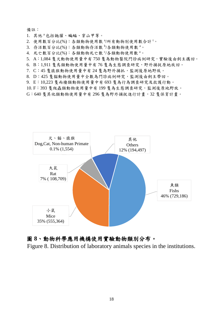備註:

- 1. 其他<sup>a</sup>包括鼬獾、蝙蝠、穿山甲等。
- 2. 使用數百分比(%):各類動物使用數 3/所有動物別使用數合計<sup>t。</sup>
- 3. 存活數百分比(%):各類動物存活數 <sup>b</sup>/各類動物使用數 a。
- 4. 死亡數百分比(%):各類動物死亡數 的各類動物使用數 a。
- 5. A:1,084 隻犬動物使用量中有 750 隻為動物醫院門診病例研究,實驗後由飼主攜回。
- 6. B:1,911 隻鳥類動物使用量中有 76 隻為生態調查研究,野外捕捉原地放回。
- 7. C:45 隻猿猴動物使用量中有 24 隻為野外捕抓,監測後原地野放。
- 8. D:425 隻貓動物使用量中全數為門診病例研究,監測後由飼主帶回。
- 9. E:10,223 隻兩棲類動物使用量中有 693 隻為行為調查研究及救護行動。
- 10. F:393 隻爬蟲類動物使用量中有 199 隻為生態調查研究,監測後原地野放。
- G:640 隻其他類動物使用量中有 296 隻為野外捕捉進行計畫,32 隻保育計畫。



#### 圖 **8**、動物科學應用機構使用實驗動物類別分布。

Figure 8. Distribution of laboratory animals species in the institutions.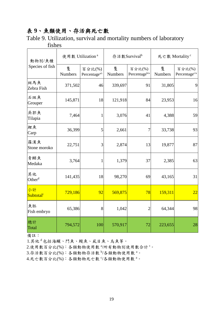# 表 **9**、魚類使用、存活與死亡數

Table 9. Utilization, survival and mortality numbers of laboratory fishes

| 動物別/魚種                      |                     | 使用數 Utilization <sup>a</sup>        |              | 存活數Survival <sup>b</sup>            | 死亡數 Mortality <sup>c</sup> |                                     |  |
|-----------------------------|---------------------|-------------------------------------|--------------|-------------------------------------|----------------------------|-------------------------------------|--|
| Species of fish             | 隻<br><b>Numbers</b> | 百分比(%)<br>Percentage <sup>a/t</sup> | 隻<br>Numbers | 百分比(%)<br>Percentage <sup>b/a</sup> | 隻<br>Numbers               | 百分比(%)<br>Percentage <sup>c/a</sup> |  |
| 斑馬魚<br>Zebra Fish           | 371,502             | 46                                  | 339,697      | 91                                  | 31,805                     | 9                                   |  |
| 石斑魚<br>Grouper              | 145,871             | 18                                  | 121,918      | 84                                  | 23,953                     | 16                                  |  |
| 吳郭魚<br>Tilapia              | 7,464               | 1                                   | 3,076        | 41                                  | 4,388                      | 59                                  |  |
| 鯉魚<br>Carp                  | 36,399              | 5                                   | 2,661        | 7                                   | 33,738                     | 93                                  |  |
| 羅漢魚<br>Stone moroko         | 22,751              | 3                                   | 2,874        | 13                                  | 19,877                     | 87                                  |  |
| 青鱂魚<br>Medaka               | 3,764               | 1                                   | 1,379        | 37                                  | 2,385                      | 63                                  |  |
| 其他<br>Other <sup>d</sup>    | 141,435             | 18                                  | 98,270       | 69                                  | 43,165                     | 31                                  |  |
| 小計<br>Subtotal <sup>t</sup> | 729,186             | 92                                  | 569,875      | 78                                  | 159,311                    | 22                                  |  |
| 魚胚<br>Fish embryo           | 65,386              | 8                                   | 1,042        | $\overline{2}$                      | 64,344                     | 98                                  |  |
| 總計<br>Total                 | 794,572             | 100                                 | 570,917      | 72                                  | 223,655                    | 28                                  |  |

備註:

1.其他<sup>d</sup>包括海鱺、鬥魚、鰻魚、虱目魚、烏魚等。

2.使用數百分比(%):各類動物使用數 3/所有動物別使用數合計<sup>t。</sup>

3.存活數百分比(%):各類動物存活數 <sup>b</sup>/各類動物使用數 a。

4.死亡數百分比(%):各類動物死亡數 的各類動物使用數 a。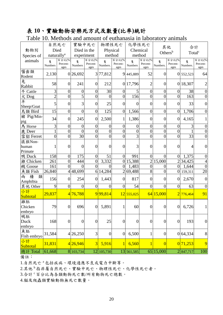## 表 **10**、實驗動物安樂死方式及數量**(**比率**)**統計

|                            |                        | 自然死亡                       | 實驗中死亡            |                            | 物理性死亡            |                            | 化學性死亡            |                            |                     |                            |                    |                           |
|----------------------------|------------------------|----------------------------|------------------|----------------------------|------------------|----------------------------|------------------|----------------------------|---------------------|----------------------------|--------------------|---------------------------|
| 動物別                        | Died                   |                            | Died in the      |                            | Physical         |                            |                  | Chemical                   | 其他                  |                            | 合計                 |                           |
| Species of                 | naturally <sup>a</sup> |                            | experiment       |                            | method           |                            | method           |                            | Others <sup>b</sup> |                            | Total <sup>c</sup> |                           |
| animals                    | 隻<br>Numbers           | 百分比(%)<br>Percent-<br>ages | 隻<br>Numbers     | 百分比(%)<br>Percent-<br>ages | 隻<br>Numbers.    | 百分比(%)<br>Percent-<br>ages | 隻<br>Numbers     | 百分比(%)<br>Percent-<br>ages | 隻<br>Numbers.       | 百分比(%)<br>Percent-<br>ages | 隻<br>Numbers.      | 百分比(%<br>Percent-<br>ages |
| 囓齒類<br>Rodent              | 2,130                  |                            | 0 26,692         |                            | 3 77,812         |                            | 9 445,889        | 52                         | $\overline{0}$      |                            | 0 552,523          | 64                        |
| 兔<br>Rabbit                | 58                     | $\overline{0}$             | 241              | $\boldsymbol{0}$           | 212              |                            | 0 17,796         | $\overline{c}$             | 0                   |                            | 0 18,307           |                           |
| 牛 Cattle                   | 3                      | $\boldsymbol{0}$           | $\boldsymbol{0}$ | $\boldsymbol{0}$           | 30               | $\boldsymbol{0}$           | 5                | $\boldsymbol{0}$           | $\boldsymbol{0}$    | $\theta$                   | 38                 | $\theta$                  |
| 犬 Dog                      | $\overline{2}$         | $\overline{0}$             | $\overline{5}$   | $\overline{0}$             | $\overline{0}$   | $\overline{0}$             | 156              | $\overline{0}$             | $\overline{0}$      | $\overline{0}$             | 163                | $\overline{0}$            |
| 羊<br>Sheep/Goat            | 5                      | $\overline{0}$             | 3                | $\boldsymbol{0}$           | 25               | $\overline{0}$             | $\overline{0}$   | $\overline{0}$             | $\overline{0}$      | $\overline{0}$             | 33                 | $\boldsymbol{0}$          |
| 鳥類 Bird                    | 15                     | $\overline{0}$             | $\boldsymbol{0}$ | $\boldsymbol{0}$           | 125              | $\overline{0}$             | 1,566            | $\boldsymbol{0}$           | $\boldsymbol{0}$    | $\overline{0}$             | 1,706              | $\boldsymbol{0}$          |
| 豬 Pig/Min-<br>pig          | 34                     | $\overline{0}$             | 245              | $\boldsymbol{0}$           | 2,500            | 1                          | 1,386            | $\boldsymbol{0}$           | $\overline{0}$      | $\overline{0}$             | 4,165              |                           |
| 馬 Horse                    | 3                      | $\overline{0}$             | $\boldsymbol{0}$ | $\boldsymbol{0}$           | $\overline{0}$   | $\overline{0}$             | $\boldsymbol{0}$ | $\boldsymbol{0}$           | $\boldsymbol{0}$    | $\overline{0}$             | 3                  | $\boldsymbol{0}$          |
| 鹿 Deer                     | 1                      | $\boldsymbol{0}$           | $\overline{0}$   | $\boldsymbol{0}$           | $\overline{0}$   | $\overline{0}$             | $\overline{0}$   | $\boldsymbol{0}$           | $\boldsymbol{0}$    | $\overline{0}$             |                    | $\boldsymbol{0}$          |
| 雪貂 Ferret                  | $\overline{0}$         | $\overline{0}$             | 30               | $\overline{0}$             | $\overline{0}$   | $\overline{0}$             | $\overline{3}$   | $\overline{0}$             | $\overline{0}$      | $\theta$                   | 33                 | $\overline{0}$            |
| 猿猴Non-<br>human<br>Primate | 1                      | $\overline{0}$             | $\overline{0}$   | $\overline{0}$             | $\overline{0}$   | $\overline{0}$             | 3                | $\overline{0}$             | $\overline{0}$      | $\theta$                   | 4                  | $\overline{0}$            |
| 鴨 Duck                     | 158                    | $\overline{0}$             | 175              | $\boldsymbol{0}$           | 51               | $\overline{0}$             | 991              | $\overline{0}$             | $\theta$            | $\overline{0}$             | 1,375              | $\theta$                  |
| <b>雞 Chicken</b>           | 261                    | $\overline{0}$             | 444              | $\boldsymbol{0}$           | 3,332            |                            | 0 15,388         | $\overline{2}$             | 15,000              | $\overline{2}$             | 34,425             | $\overline{4}$            |
| 鵝 Goose                    | 161                    | $\overline{0}$             | $\overline{0}$   | $\overline{0}$             | $\overline{0}$   | $\overline{0}$             | 1,483            | $\overline{0}$             | $\boldsymbol{0}$    | $\boldsymbol{0}$           | 1,644              | $\overline{0}$            |
| 魚類 Fish                    | 26,840                 |                            | 448,699          |                            | 6 14,284         |                            | 2 69,488         | 8                          | $\overline{0}$      |                            | 0 159,311          | 20                        |
| 棲<br>類<br>兩<br>Amphibia    | 156                    | $\overline{0}$             | 254              | $\boldsymbol{0}$           | 1,443            | $\overline{0}$             | 817              | $\boldsymbol{0}$           | $\overline{0}$      | $\overline{0}$             | 2,670              | $\overline{0}$            |
| 其他 Other                   | 9                      | $\overline{0}$             | $\overline{0}$   | $\boldsymbol{0}$           | $\overline{0}$   | $\overline{0}$             | 54               | $\overline{0}$             | $\overline{0}$      | $\overline{0}$             | 63                 | $\overline{0}$            |
| 小計<br>Subtotal             | 29,837                 |                            | 4 76,788         |                            | 9 99,814         |                            | 12 555,025       |                            | 64 15,000           |                            | 2 776,464          | 91                        |
| 雞胚<br>Chicken<br>embryo    | 79                     | $\overline{0}$             | 696              | 0                          | 5,891            | 1                          | 60               | $\boldsymbol{0}$           | $\overline{0}$      | $\overline{0}$             | 6,726              |                           |
| 鴨胚<br>Duck<br>embryo       | 168                    | $\boldsymbol{0}$           | $\boldsymbol{0}$ | $\boldsymbol{0}$           | 25               | $\boldsymbol{0}$           | $\boldsymbol{0}$ | $\boldsymbol{0}$           | $\boldsymbol{0}$    | $\overline{0}$             | 193                | $\boldsymbol{0}$          |
| 魚胚<br>Fish embryo          | 31,584                 |                            | 4 26,250         | 3                          | $\boldsymbol{0}$ | $\boldsymbol{0}$           | 6,500            | 1                          | $\boldsymbol{0}$    |                            | 0 64,334           | 8                         |
| 小計<br>Subtotal             | 31,831                 |                            | 4 26,946         | 3                          | 5,916            |                            | 6,560            | $\mathbf{1}$               | $\overline{0}$      |                            | 0 71,253           | 9                         |
| 總計 Total                   | 61,668                 |                            | 8 103,734        |                            | 12 105,730       |                            | 13 561,585       |                            | 65 15,000           |                            | 2 847,717          | 100                       |

Table 10. Methods and amount of euthanasia in laboratory animals

備註:

1.自然死亡<sup>a</sup>包括疾病、環境適應不良或電力中斷等。

2.其他 <sup>b</sup> 指非屬自然死亡、實驗中死亡、物理性死亡、化學性死亡者。

3.合計 <sup>c</sup> 百分比為各類動物死亡數/所有動物死亡總數。

4.貓及爬蟲類實驗動物無死亡數量。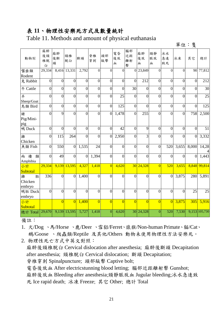#### 表 **11**、物理性安樂死方式及數量統計

Table 11. Methods and amount of physical euthanasia

|           | æ |
|-----------|---|
| . イ立<br>铂 |   |

| 動物別                     | 麻醉<br>後頸<br>椎脫<br>臼 | 麻醉<br>後斷<br>頭  | 頸椎<br>脫臼       | 斷頭             | 脊椎<br>穿刺       | 頭部<br>敲擊       | 電昏<br>後放<br>血  | 腦部<br>近距<br>離射<br>擊 | 麻醉<br>後放<br>血  | 頸靜<br>脈放<br>血  | 冰水<br>急速<br>致死 | 冰凍             | 其它               | 總計              |
|-------------------------|---------------------|----------------|----------------|----------------|----------------|----------------|----------------|---------------------|----------------|----------------|----------------|----------------|------------------|-----------------|
| 囓齒類<br>Rodent           | 29,334              |                | 8,416 13,331   | 2,792          | $\overline{0}$ | $\theta$       | $\overline{0}$ | $\theta$            | 23,849         | $\theta$       | $\theta$       | $\overline{0}$ | 90               | 77,812          |
| 兔 Rabbit                | $\overline{0}$      | $\overline{0}$ | $\overline{0}$ | $\overline{0}$ | $\overline{0}$ | $\overline{0}$ | $\overline{0}$ | $\overline{0}$      | 212            | $\overline{0}$ | $\overline{0}$ | $\overline{0}$ | $\overline{0}$   | 212             |
|                         |                     |                |                |                |                |                |                |                     |                |                |                |                |                  |                 |
| 牛 Cattle                | $\overline{0}$      | $\overline{0}$ | $\overline{0}$ | $\overline{0}$ | $\overline{0}$ | $\overline{0}$ | $\overline{0}$ | $\overline{30}$     | $\overline{0}$ | $\overline{0}$ | $\overline{0}$ | $\overline{0}$ | $\overline{0}$   | $\overline{30}$ |
| 羊                       | $\overline{0}$      | $\overline{0}$ | $\overline{0}$ | $\overline{0}$ | $\overline{0}$ | $\theta$       | 25             | $\overline{0}$      | $\overline{0}$ | $\overline{0}$ | $\overline{0}$ | $\overline{0}$ | $\theta$         | $\overline{25}$ |
| Sheep/Goat              |                     |                |                |                |                |                |                |                     |                |                |                |                |                  |                 |
| 鳥類 Bird                 | $\overline{0}$      | $\overline{0}$ | $\overline{0}$ | $\overline{0}$ | $\theta$       | $\overline{0}$ | 125            | $\overline{0}$      | $\overline{0}$ | $\overline{0}$ | $\overline{0}$ | $\overline{0}$ | $\overline{0}$   | 125             |
| 豬                       | $\theta$            | 9              | $\overline{0}$ | $\overline{0}$ | $\theta$       | $\Omega$       | 1,478          | $\overline{0}$      | 255            | $\theta$       | $\overline{0}$ | $\overline{0}$ | 758              | 2,500           |
| Pig/Mini-               |                     |                |                |                |                |                |                |                     |                |                |                |                |                  |                 |
| pig                     |                     |                |                |                |                |                |                |                     |                |                |                |                |                  |                 |
| 鴨 Duck                  | $\overline{0}$      | $\overline{0}$ | $\overline{0}$ | $\overline{0}$ | $\overline{0}$ | $\overline{0}$ | 42             | $\overline{0}$      | 9              | $\overline{0}$ | $\overline{0}$ | $\overline{0}$ | $\overline{0}$   | 51              |
| 雞                       | $\overline{0}$      | 115            | 264            | $\overline{0}$ | $\theta$       | $\overline{0}$ | 2,950          | $\overline{0}$      | 3              | $\overline{0}$ | $\overline{0}$ | $\overline{0}$ | $\boldsymbol{0}$ | 3,332           |
| Chicken                 |                     |                |                |                |                |                |                |                     |                |                |                |                |                  |                 |
| 魚類 Fish                 | $\overline{0}$      | 550            | $\overline{0}$ | 1,535          | 24             | $\overline{0}$ | $\overline{0}$ | $\overline{0}$      | $\overline{0}$ | $\overline{0}$ | 520            | 3,655          | 8,000            | 14,28           |
|                         |                     |                |                |                |                |                |                |                     |                |                |                |                |                  |                 |
| 棲<br>類<br>兩<br>Amphibia | $\overline{0}$      | 49             | $\overline{0}$ | $\overline{0}$ | 1,394          | $\overline{0}$ | $\overline{0}$ | $\overline{0}$      | $\overline{0}$ | $\overline{0}$ | $\overline{0}$ | $\overline{0}$ | $\overline{0}$   | 1,443           |
| 小計                      | 29,334              | 9,139          | 13,595         | 4,327          | 1,418          | $\overline{0}$ | 4,620          |                     | 30 24,328      | $\overline{0}$ | 520            | 3,655          | 8,848            | 99,814          |
| Subtotal                |                     |                |                |                |                |                |                |                     |                |                |                |                |                  |                 |
| 雞<br>胚                  | 336                 | $\overline{0}$ | $\overline{0}$ | 1,400          | $\theta$       | $\theta$       | $\overline{0}$ | $\overline{0}$      | $\overline{0}$ | $\overline{0}$ | $\overline{0}$ | 3,875          | 280              | 5,891           |
| Chicken                 |                     |                |                |                |                |                |                |                     |                |                |                |                |                  |                 |
| embryo                  |                     |                |                |                |                |                |                |                     |                |                |                |                |                  |                 |
| 鴨胚 Duck                 | $\overline{0}$      | $\overline{0}$ | $\overline{0}$ | $\overline{0}$ | $\overline{0}$ | $\overline{0}$ | $\overline{0}$ | $\overline{0}$      | $\overline{0}$ | $\overline{0}$ | $\overline{0}$ | $\overline{0}$ | 25               | 25              |
| embryo                  |                     |                |                |                |                |                |                |                     |                |                |                |                |                  |                 |
| 小計                      |                     | $\overline{0}$ | $\overline{0}$ | 1,400          | $\overline{0}$ | $\overline{0}$ | $\overline{0}$ | $\overline{0}$      | $\overline{0}$ | $\overline{0}$ | $\theta$       | 3,875          | 305              | 5,916           |
| Subtotal                |                     |                |                |                |                |                |                |                     |                |                |                |                |                  |                 |
| 總計 Total                | 29,670              | 9,139          | 13,595         | 5,727          | 1,418          | $\overline{0}$ | 4,620          |                     | 30 24,328      | $\overline{0}$ | 520            | 7,530          |                  | 9,153 105,730   |
|                         |                     |                |                |                |                |                |                |                     |                |                |                |                |                  |                 |

備註:

1. 犬/Dog 、馬/Horse 、鹿/Deer 、雪貂/Ferret、猿猴/Non-human Primate、貓/Cat、 鵝/Goose 、爬蟲類/Reptile 及其他/Others 動物未使用物理性方法安樂死。

2. 物理性死亡方式中英文對照:

麻醉後頸椎脫臼 Cervical dislocation after anesthesia; 麻醉後斷頭 Decapitation after anesthesia; 頸椎脫臼 Cervical dislocation; 斷頭 Decapitation; 脊椎穿刺 Spinalpuncture; 頭部敲擊 Captive bolt; 電昏後放血 After electricstunning blood letting; 腦部近距離射擊 Gunshot;

麻醉後放血 Bleeding after anesthesia;頸靜脈放血 Jugular bleeding;冰水急速致 死 Ice rapid death; 冰凍 Freeze; 其它 Other; 總計 Total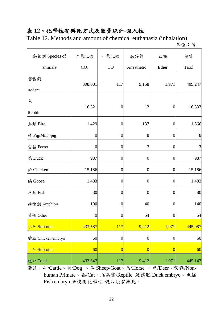#### 表 **12**、化學性安樂死方式及數量統計**-**吸入性

Table 12. Methods and amount of chemical euthanasia (inhalation)

單位:隻

| 動物別 Species of    | 二氧化碳             | 一氧化碳             | 麻醉藥              | 乙醚               | 總計      |
|-------------------|------------------|------------------|------------------|------------------|---------|
| animals           | CO <sub>2</sub>  | CO               | Anesthetic       | Ether            | Tatol   |
| 囓齒類               | 398,001          | 117              | 9,158            | 1,971            | 409,247 |
| Rodent            |                  |                  |                  |                  |         |
| 兔                 | 16,321           | $\boldsymbol{0}$ | 12               | $\boldsymbol{0}$ | 16,333  |
| Rabbit            |                  |                  |                  |                  |         |
| 鳥類 Bird           | 1,429            | $\boldsymbol{0}$ | 137              | $\boldsymbol{0}$ | 1,566   |
| 豬 Pig/Mini -pig   | $\boldsymbol{0}$ | $\boldsymbol{0}$ | 8                | $\boldsymbol{0}$ | $8\,$   |
| 雪貂 Ferret         | $\boldsymbol{0}$ | $\boldsymbol{0}$ | 3                | $\boldsymbol{0}$ | 3       |
| 鴨 Duck            | 987              | $\boldsymbol{0}$ | $\overline{0}$   | $\overline{0}$   | 987     |
| <b>雞 Chicken</b>  | 15,186           | $\boldsymbol{0}$ | $\boldsymbol{0}$ | $\boldsymbol{0}$ | 15,186  |
| 鵝 Goose           | 1,483            | $\boldsymbol{0}$ | $\overline{0}$   | $\overline{0}$   | 1,483   |
| 魚類 Fish           | 80               | $\boldsymbol{0}$ | $\overline{0}$   | $\boldsymbol{0}$ | 80      |
| 兩棲類 Amphibia      | 100              | $\boldsymbol{0}$ | 40               | $\boldsymbol{0}$ | 140     |
| 其他 Other          | $\boldsymbol{0}$ | $\boldsymbol{0}$ | 54               | $\boldsymbol{0}$ | 54      |
| 小計 Subtotal       | 433,587          | <b>117</b>       | 9,412            | 1,971            | 445,087 |
| 雞胚 Chicken embryo | 60               | $\boldsymbol{0}$ | $\boldsymbol{0}$ | $\boldsymbol{0}$ | 60      |
| 小計 Subtotal       | 60               | $\overline{0}$   | $\overline{0}$   | $\overline{0}$   | 60      |
| 總計 Total          | 433,647          | 117              | 9,412            | 1,971            | 445,147 |

備註:牛/Cattle、犬/Dog 、羊 Sheep/Goat、馬/Horse 、鹿/Deer、猿猴/Nonhuman Primate、貓/Cat、爬蟲類/Reptile 及鴨胚 Duck embryo、魚胚 Fish embryo 未使用化學性-吸入法安樂死。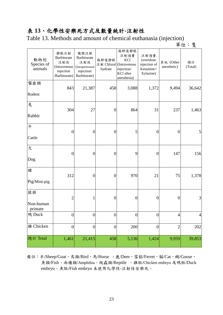#### 表 **13**、化學性安樂死方式及數量統計**-**注射性

Table 13. Methods and amount of chemical euthanasia (injection)

單位:隻

| 動物別<br>Species of<br>animals | 靜脈注射<br>Barbiturate<br>注射液<br>(Intravenous<br>injection<br>/Barbiturate) | 腹腔注射<br>Barbiturate<br>注射液<br>(Intraperitoneal<br>injection/<br>Barbiturate) | 麻醉後靜脈<br>注射 Chloral (Intravenous<br>hydrate | 麻醉後靜脈<br>注射過量<br><b>KCl</b><br>injection/<br>KCl after<br>anesthesia) | 注射過量<br>(overdose<br>injection of<br>Ketamine+<br>Xylazine) | 其他 (Other<br>anesthetic) | 總計<br>(Total)  |
|------------------------------|--------------------------------------------------------------------------|------------------------------------------------------------------------------|---------------------------------------------|-----------------------------------------------------------------------|-------------------------------------------------------------|--------------------------|----------------|
| 囓齒類<br>Rodent                | 843                                                                      | 21,387                                                                       | 458                                         | 3,088                                                                 | 1,372                                                       | 9,494                    | 36,642         |
| 兔<br>Rabbit                  | 304                                                                      | 27                                                                           | $\boldsymbol{0}$                            | 864                                                                   | 31                                                          | 237                      | 1,463          |
| 牛<br>Cattle                  | $\boldsymbol{0}$                                                         | $\boldsymbol{0}$                                                             | $\overline{0}$                              | 5                                                                     | $\overline{0}$                                              | $\overline{0}$           | 5              |
| 犬<br>Dog                     | $\boldsymbol{0}$                                                         | $\boldsymbol{0}$                                                             | $\overline{0}$                              | 9                                                                     | $\boldsymbol{0}$                                            | 147                      | 156            |
| 豬<br>Pig/Mini-pig            | 312                                                                      | $\boldsymbol{0}$                                                             | $\overline{0}$                              | 970                                                                   | 21                                                          | 75                       | 1,378          |
| 猿猴<br>Non-human<br>primate   | $\overline{2}$                                                           | 1                                                                            | $\overline{0}$                              | $\overline{0}$                                                        | $\boldsymbol{0}$                                            | $\overline{0}$           | 3              |
| 鴨 Duck                       | $\overline{0}$                                                           | $\boldsymbol{0}$                                                             | $\boldsymbol{0}$                            | $\boldsymbol{0}$                                                      | $\overline{0}$                                              | $\overline{4}$           | $\overline{4}$ |
| <b>雞 Chicken</b>             | $\boldsymbol{0}$                                                         | $\boldsymbol{0}$                                                             | $\boldsymbol{0}$                            | 200                                                                   | $\boldsymbol{0}$                                            | $\overline{2}$           | 202            |
| 總計 Total                     | 1,461                                                                    | 21,415                                                                       | 458                                         | 5,136                                                                 | 1,424                                                       | 9,959                    | 39,853         |

備註:羊/Sheep/Goat、鳥類/Bird、馬/Horse 、鹿/Deer、雪貂/Ferret、貓/Cat、鵝/Goose、 魚類/Fish、兩棲類/Amphibia、爬蟲類/Reptile 、雞胚/Chicken embryo 及鴨胚/Duck embryo、魚胚/Fish embryo 未使用化學性-注射性安樂死。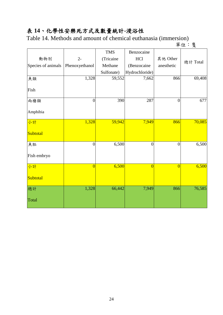# 表 **14**、化學性安樂死方式及數量統計**-**浸浴性

Table 14. Methods and amount of chemical euthanasia (immersion)

單位:隻

|                    |                | <b>TMS</b> | Benzocaine     |                |          |
|--------------------|----------------|------------|----------------|----------------|----------|
| 動物別                | $2-$           | (Tricaine  | HCl            | 其他 Other       | 總計 Total |
| Species of animals | Phenoxyethanol | Methane    | (Benzocaine    | anesthetic     |          |
|                    |                | Sulfonate) | Hydrochloride) |                |          |
| 魚類                 | 1,328          | 59,552     | 7,662          | 866            | 69,408   |
| Fish               |                |            |                |                |          |
| 兩棲類                | $\overline{0}$ | 390        | 287            | $\overline{0}$ | 677      |
| Amphibia           |                |            |                |                |          |
| 小計                 | 1,328          | 59,942     | 7,949          | 866            | 70,085   |
| Subtotal           |                |            |                |                |          |
| 魚胚                 | $\overline{0}$ | 6,500      | $\overline{0}$ | $\overline{0}$ | 6,500    |
| Fish embryo        |                |            |                |                |          |
| 小計                 | $\overline{0}$ | 6,500      | $\overline{0}$ | $\overline{0}$ | 6,500    |
| Subtotal           |                |            |                |                |          |
| 總計                 | 1,328          | 66,442     | 7,949          | 866            | 76,585   |
| Total              |                |            |                |                |          |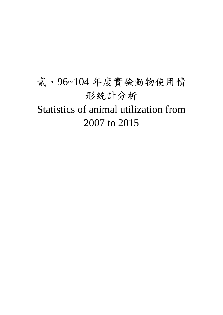# 貳、96~104 年度實驗動物使用情 形統計分析 Statistics of animal utilization from 2007 to 2015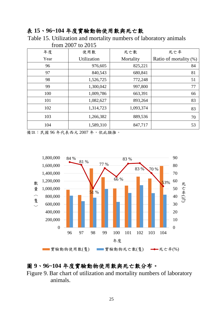#### 表 **15**、**96~104** 年度實驗動物使用數與死亡數

Table 15. Utilization and mortality numbers of laboratory animals from 2007 to 2015

| 年度   | 使用數         | 死亡數       | 死亡率                    |
|------|-------------|-----------|------------------------|
| Year | Utilization | Mortality | Ratio of mortality (%) |
| 96   | 976,605     | 825,221   | 84                     |
| 97   | 840,543     | 680,841   | 81                     |
| 98   | 1,526,725   | 772,248   | 51                     |
| 99   | 1,300,042   | 997,800   | 77                     |
| 100  | 1,009,786   | 663,391   | 66                     |
| 101  | 1,082,627   | 893,264   | 83                     |
| 102  | 1,314,723   | 1,093,374 | 83                     |
| 103  | 1,266,382   | 889,536   | 70                     |
| 104  | 1,589,310   | 847,717   | 53                     |

備註:民國 96 年代表西元 2007 年,依此類推。



#### 圖 **9**、**96~104** 年度實驗動物使用數與死亡數分布。

Figure 9. Bar chart of utilization and mortality numbers of laboratory animals.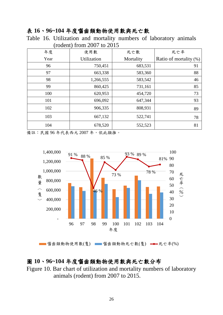#### 表 **16**、**96~104** 年度囓齒類動物使用數與死亡數

Table 16. Utilization and mortality numbers of laboratory animals (rodent) from 2007 to 2015

| 年度   | 使用數         | 死亡數       | 死亡率                    |
|------|-------------|-----------|------------------------|
| Year | Utilization | Mortality | Ratio of mortality (%) |
| 96   | 750,451     | 683,531   | 91                     |
| 97   | 663,338     | 583,360   | 88                     |
| 98   | 1,266,555   | 583,542   | 46                     |
| 99   | 860,425     | 731,161   | 85                     |
| 100  | 620,953     | 454,720   | 73                     |
| 101  | 696,092     | 647,344   | 93                     |
| 102  | 906,335     | 808,931   | 89                     |
| 103  | 667,132     | 522,741   | 78                     |
| 104  | 678,520     | 552,523   | 81                     |

備註:民國 96 年代表西元 2007 年,依此類推。



<sup>■</sup> 醬齒類動物使用數(隻) ■ 醬齒類動物死亡數(隻) → 死亡率(%)

## 圖 **10**、**96~104** 年度囓齒類動物使用數與死亡數分布

Figure 10. Bar chart of utilization and mortality numbers of laboratory animals (rodent) from 2007 to 2015.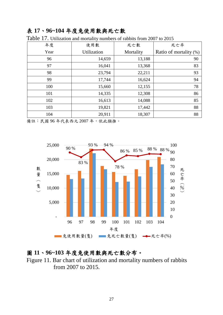#### 表 **17**、**96~104** 年度兔使用數與死亡數

| 年度   | 使用數                | 死亡數       | 死亡率                    |
|------|--------------------|-----------|------------------------|
| Year | <b>Utilization</b> | Mortality | Ratio of mortality (%) |
| 96   | 14,659             | 13,188    | 90                     |
| 97   | 16,041             | 13,368    | 83                     |
| 98   | 23,794             | 22,211    | 93                     |
| 99   | 17,744             | 16,624    | 94                     |
| 100  | 15,660             | 12,155    | 78                     |
| 101  | 14,335             | 12,308    | 86                     |
| 102  | 16,613             | 14,088    | 85                     |
| 103  | 19,821             | 17,442    | 88                     |
| 104  | 20,911             | 18,307    | 88                     |

Table 17. Utilization and mortality numbers of rabbits from 2007 to 2015

備註:民國 96 年代表西元 2007 年,依此類推。



#### 圖 **11**、**96~103** 年度兔使用數與死亡數分布。

Figure 11. Bar chart of utilization and mortality numbers of rabbits from 2007 to 2015.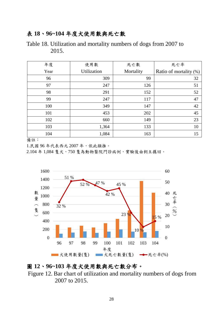#### 表 **18**、**96~104** 年度犬使用數與死亡數

Table 18. Utilization and mortality numbers of dogs from 2007 to 2015.

| 年度   | 使用數         | 死亡數       | 死亡率                    |
|------|-------------|-----------|------------------------|
| Year | Utilization | Mortality | Ratio of mortality (%) |
| 96   | 309         | 99        | 32                     |
| 97   | 247         | 126       | 51                     |
| 98   | 291         | 152       | 52                     |
| 99   | 247         | 117       | 47                     |
| 100  | 349         | 147       | 42                     |
| 101  | 453         | 202       | 45                     |
| 102  | 660         | 149       | 23                     |
| 103  | 1,364       | 133       | 10                     |
| 104  | 1,084       | 163       | 15                     |

備註:

1.民國 96 年代表西元 2007 年,依此類推。

2.104年1,084隻犬,750隻為動物醫院門診病例,實驗後由飼主攜回。



#### 圖 **12**、**96~103** 年度犬使用數與死亡數分布。

Figure 12. Bar chart of utilization and mortality numbers of dogs from 2007 to 2015.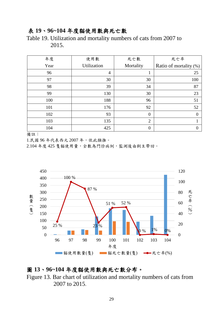#### 表 **19**、**96~104** 年度貓使用數與死亡數

Table 19. Utilization and mortality numbers of cats from 2007 to 2015.

| 年度   | 使用數            | 死亡數            | 死亡率                    |
|------|----------------|----------------|------------------------|
| Year | Utilization    | Mortality      | Ratio of mortality (%) |
| 96   | $\overline{4}$ | 1              | 25                     |
| 97   | 30             | 30             | 100                    |
| 98   | 39             | 34             | 87                     |
| 99   | 130            | 30             | 23                     |
| 100  | 188            | 96             | 51                     |
| 101  | 176            | 92             | 52                     |
| 102  | 93             | $\overline{0}$ | $\Omega$               |
| 103  | 135            | $\overline{2}$ |                        |
| 104  | 425            | $\overline{0}$ | $\Omega$               |

備註:

1.民國 96 年代表西元 2007 年,依此類推。

2.104 年度 425 隻貓使用量,全數為門診病例,監測後由飼主帶回。



#### 圖 **13**、**96~104** 年度貓使用數與死亡數分布。

Figure 13. Bar chart of utilization and mortality numbers of cats from 2007 to 2015.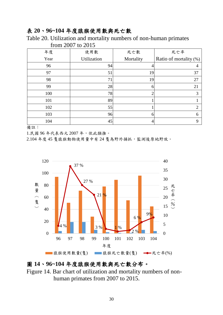#### 表 **20**、**96~104** 年度猿猴使用數與死亡數

Table 20. Utilization and mortality numbers of non-human primates

| 年度   | 使用數            | 死亡數       | 死亡率                       |
|------|----------------|-----------|---------------------------|
| Year | Utilization    | Mortality | Ratio of mortality $(\%)$ |
| 96   | 94             |           |                           |
| 97   | 51             | 19        | 37                        |
| 98   | 7 <sup>1</sup> | 19        | 27                        |
| 99   | 28             | O         | 21                        |
| 100  | 78             |           | 3                         |
| 101  | 89             |           |                           |
| 102  | 55             |           | ∍                         |
| 103  | 96             | 6         | 6                         |
| 104  | 45             |           | Q                         |

from 2007 to 2015

備註:

1.民國 96 年代表西元 2007 年,依此類推。

2.104 年度 45 隻猿猴動物使用量中有 24 隻為野外捕抓,監測後原地野放。



#### 圖 **14**、**96~104** 年度猿猴使用數與死亡數分布。

Figure 14. Bar chart of utilization and mortality numbers of nonhuman primates from 2007 to 2015.